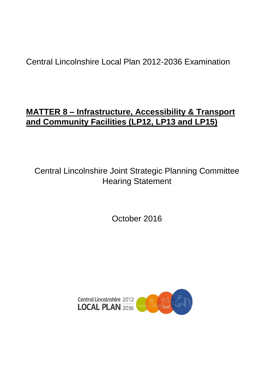# Central Lincolnshire Local Plan 2012-2036 Examination

# **MATTER 8 – Infrastructure, Accessibility & Transport and Community Facilities (LP12, LP13 and LP15)**

Central Lincolnshire Joint Strategic Planning Committee Hearing Statement

October 2016

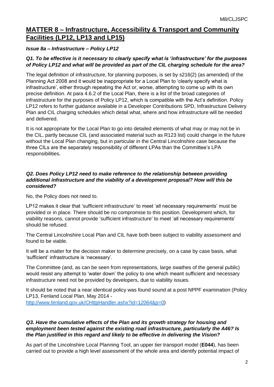# **MATTER 8 – Infrastructure, Accessibility & Transport and Community Facilities (LP12, LP13 and LP15)**

# *Issue 8a – Infrastructure – Policy LP12*

# *Q1. To be effective is it necessary to clearly specify what is 'infrastructure' for the purposes of Policy LP12 and what will be provided as part of the CIL charging schedule for the area?*

The legal definition of infrastructure, for planning purposes, is set by s216(2) (as amended) of the Planning Act 2008 and it would be inappropriate for a Local Plan to 'clearly specify what is infrastructure', either through repeating the Act or, worse, attempting to come up with its own precise definition. At para 4.6.2 of the Local Plan, there is a list of the broad categories of infrastructure for the purposes of Policy LP12, which is compatible with the Act's definition. Policy LP12 refers to further guidance available in a Developer Contributions SPD, Infrastructure Delivery Plan and CIL charging schedules which detail what, where and how infrastructure will be needed and delivered.

It is not appropriate for the Local Plan to go into detailed elements of what may or may not be in the CIL, partly because CIL (and associated material such as R123 list) could change in the future without the Local Plan changing, but in particular in the Central Lincolnshire case because the three CILs are the separately responsibility of different LPAs than the Committee's LPA responsibilities.

# *Q2. Does Policy LP12 need to make reference to the relationship between providing additional infrastructure and the viability of a development proposal? How will this be considered?*

No, the Policy does not need to.

LP12 makes it clear that 'sufficient infrastructure' to meet 'all necessary requirements' must be provided or in place. There should be no compromise to this position. Development which, for viability reasons, cannot provide 'sufficient infrastructure' to meet 'all necessary requirements' should be refused.

The Central Lincolnshire Local Plan and CIL have both been subject to viability assessment and found to be viable.

It will be a matter for the decision maker to determine precisely, on a case by case basis, what 'sufficient' infrastructure is 'necessary'.

The Committee (and, as can be seen from representations, large swathes of the general public) would resist any attempt to 'water down' the policy to one which meant sufficient and necessary infrastructure need not be provided by developers, due to viability issues.

It should be noted that a near identical policy was found sound at a post NPPF examination (Policy LP13, Fenland Local Plan, May 2014 -

[http://www.fenland.gov.uk/CHttpHandler.ashx?id=12064&p=0\)](http://www.fenland.gov.uk/CHttpHandler.ashx?id=12064&p=0)

# *Q3. Have the cumulative effects of the Plan and its growth strategy for housing and employment been tested against the existing road infrastructure, particularly the A46? Is the Plan justified in this regard and likely to be effective in delivering the Vision?*

As part of the Lincolnshire Local Planning Tool, an upper tier transport model (**E044**), has been carried out to provide a high level assessment of the whole area and identify potential impact of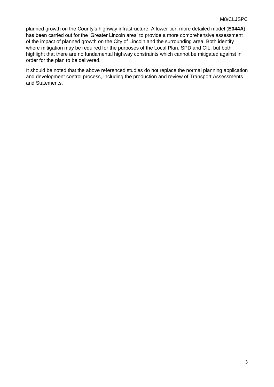planned growth on the County's highway infrastructure. A lower tier, more detailed model (**E044A**) has been carried out for the 'Greater Lincoln area' to provide a more comprehensive assessment of the impact of planned growth on the City of Lincoln and the surrounding area. Both identify where mitigation may be required for the purposes of the Local Plan, SPD and CIL, but both highlight that there are no fundamental highway constraints which cannot be mitigated against in order for the plan to be delivered.

It should be noted that the above referenced studies do not replace the normal planning application and development control process, including the production and review of Transport Assessments and Statements.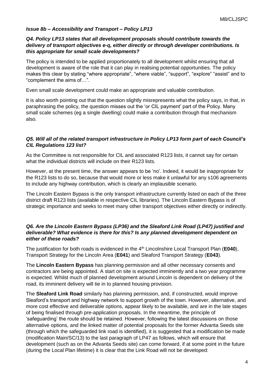# *Issue 8b – Accessibility and Transport – Policy LP13*

#### *Q4. Policy LP13 states that all development proposals should contribute towards the delivery of transport objectives e-q, either directly or through developer contributions. Is this appropriate for small scale developments?*

The policy is intended to be applied proportionately to all development whilst ensuring that all development is aware of the role that it can play in realising potential opportunities. The policy makes this clear by stating "where appropriate", "where viable", "support", "explore" "assist" and to "complement the aims of…".

Even small scale development could make an appropriate and valuable contribution.

It is also worth pointing out that the question slightly misrepresents what the policy says, in that, in paraphrasing the policy, the question misses out the 'or CIL payment' part of the Policy. Many small scale schemes (eg a single dwelling) could make a contribution through that mechanism also.

#### *Q5. Will all of the related transport infrastructure in Policy LP13 form part of each Council's CIL Regulations 123 list?*

As the Committee is not responsible for CIL and associated R123 lists, it cannot say for certain what the individual districts will include on their R123 lists.

However, at the present time, the answer appears to be 'no'. Indeed, it would be inappropriate for the R123 lists to do so, because that would more or less make it unlawful for any s106 agreements to include any highway contribution, which is clearly an implausible scenario.

The Lincoln Eastern Bypass is the only transport infrastructure currently listed on each of the three district draft R123 lists (available in respective CIL libraries). The Lincoln Eastern Bypass is of strategic importance and seeks to meet many other transport objectives either directly or indirectly.

#### *Q6. Are the Lincoln Eastern Bypass (LP36) and the Sleaford Link Road (LP47) justified and deliverable? What evidence is there for this? Is any planned development dependent on either of these roads?*

The justification for both roads is evidenced in the 4th Lincolnshire Local Transport Plan (**E040**), Transport Strategy for the Lincoln Area (**E041**) and Sleaford Transport Strategy (**E043**).

The **Lincoln Eastern Bypass** has planning permission and all other necessary consents and contractors are being appointed. A start on site is expected imminently and a two year programme is expected. Whilst much of planned development around Lincoln is dependent on delivery of the road, its imminent delivery will tie in to planned housing provision.

The **Sleaford Link Road** similarly has planning permission, and, if constructed, would improve Sleaford's transport and highway network to support growth of the town. However, alternative, and more cost effective and deliverable options, appear likely to be available, and are in the late stages of being finalised through pre-application proposals. In the meantime, the principle of 'safeguarding' the route should be retained. However, following the latest discussions on those alternative options, and the linked matter of potential proposals for the former Advanta Seeds site (through which the safeguarded link road is identified), it is suggested that a modification be made (modification Main/SC/13) to the last paragraph of LP47 as follows, which will ensure that development (such as on the Advanta Seeds site) can come forward, if at some point in the future (during the Local Plan lifetime) it is clear that the Link Road will not be developed: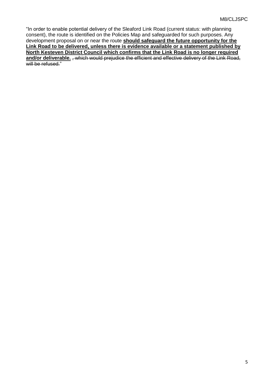"In order to enable potential delivery of the Sleaford Link Road (current status: with planning consent), the route is identified on the Policies Map and safeguarded for such purposes. Any development proposal on or near the route **should safeguard the future opportunity for the Link Road to be delivered, unless there is evidence available or a statement published by North Kesteven District Council which confirms that the Link Road is no longer required** and/or deliverable. , which would prejudice the efficient and effective delivery of the Link Road, will be refused."